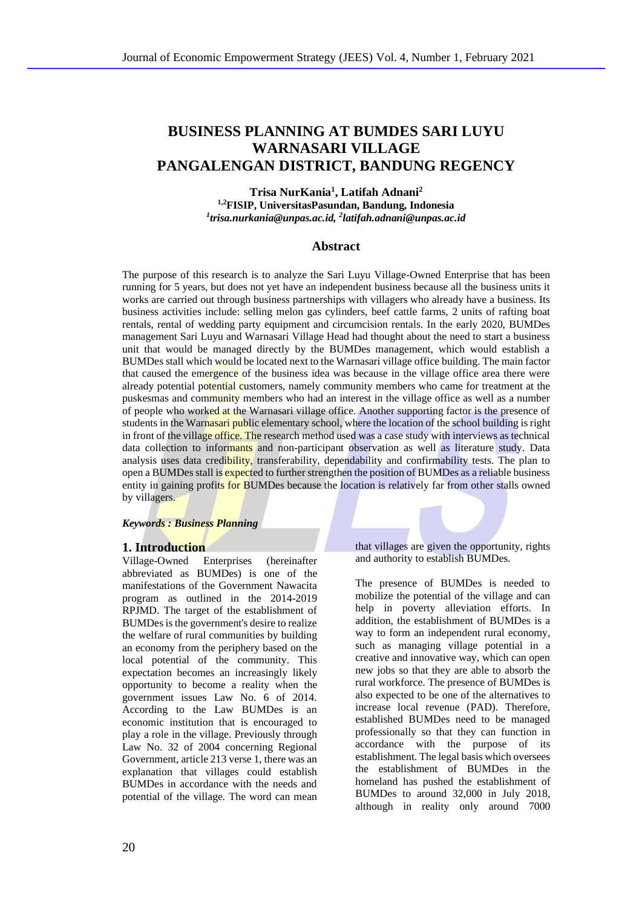# **BUSINESS PLANNING AT BUMDES SARI LUYU WARNASARI VILLAGE PANGALENGAN DISTRICT, BANDUNG REGENCY**

## **Trisa NurKania<sup>1</sup> , Latifah Adnani<sup>2</sup>**

**1,2FISIP, UniversitasPasundan, Bandung, Indonesia** *1 trisa.nurkania@unpas.ac.id, 2 latifah.adnani@unpas.ac.id*

# **Abstract**

The purpose of this research is to analyze the Sari Luyu Village-Owned Enterprise that has been running for 5 years, but does not yet have an independent business because all the business units it works are carried out through business partnerships with villagers who already have a business. Its business activities include: selling melon gas cylinders, beef cattle farms, 2 units of rafting boat rentals, rental of wedding party equipment and circumcision rentals. In the early 2020, BUMDes management Sari Luyu and Warnasari Village Head had thought about the need to start a business unit that would be managed directly by the BUMDes management, which would establish a BUMDes stall which would be located next to the Warnasari village office building. The main factor that caused the emergence of the business idea was because in the village office area there were already potential potential customers, namely community members who came for treatment at the puskesmas and community members who had an interest in the village office as well as a number of people who worked at the Warnasari village office. Another supporting factor is the presence of students in the Warnasari public elementary school, where the location of the school building is right in front of the village office. The research method used was a case study with interviews as technical data collection to informants and non-participant observation as well as literature study. Data analysis uses data credibility, transferability, dependability and confirmability tests. The plan to open a BUMDes stall is expected to further strengthen the position of BUMDes as a reliable business entity in gaining profits for BUMDes because the location is relatively far from other stalls owned by villagers.

#### *Keywords : Business Planning*

## **1. Introduction**

Village-Owned Enterprises (hereinafter abbreviated as BUMDes) is one of the manifestations of the Government Nawacita program as outlined in the 2014-2019 RPJMD. The target of the establishment of BUMDes is the government's desire to realize the welfare of rural communities by building an economy from the periphery based on the local potential of the community. This expectation becomes an increasingly likely opportunity to become a reality when the government issues Law No. 6 of 2014. According to the Law BUMDes is an economic institution that is encouraged to play a role in the village. Previously through Law No. 32 of 2004 concerning Regional Government, article 213 verse 1, there was an explanation that villages could establish BUMDes in accordance with the needs and potential of the village. The word can mean

that villages are given the opportunity, rights and authority to establish BUMDes.

The presence of BUMDes is needed to mobilize the potential of the village and can help in poverty alleviation efforts. In addition, the establishment of BUMDes is a way to form an independent rural economy, such as managing village potential in a creative and innovative way, which can open new jobs so that they are able to absorb the rural workforce. The presence of BUMDes is also expected to be one of the alternatives to increase local revenue (PAD). Therefore, established BUMDes need to be managed professionally so that they can function in accordance with the purpose of its establishment. The legal basis which oversees the establishment of BUMDes in the homeland has pushed the establishment of BUMDes to around 32,000 in July 2018, although in reality only around 7000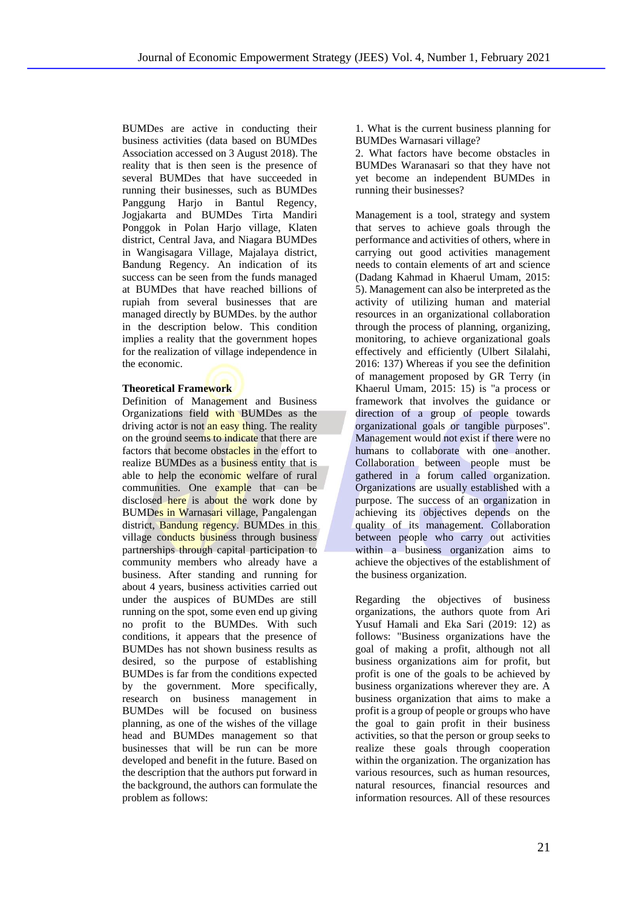BUMDes are active in conducting their business activities (data based on BUMDes Association accessed on 3 August 2018). The reality that is then seen is the presence of several BUMDes that have succeeded in running their businesses, such as BUMDes Panggung Harjo in Bantul Regency, Jogjakarta and BUMDes Tirta Mandiri Ponggok in Polan Harjo village, Klaten district, Central Java, and Niagara BUMDes in Wangisagara Village, Majalaya district, Bandung Regency. An indication of its success can be seen from the funds managed at BUMDes that have reached billions of rupiah from several businesses that are managed directly by BUMDes. by the author in the description below. This condition implies a reality that the government hopes for the realization of village independence in the economic.

### **Theoretical Framework**

Definition of Management and Business Organizations field with BUMDes as the driving actor is not an easy thing. The reality on the ground seems to indicate that there are factors that become obstacles in the effort to realize BUMDes as a business entity that is able to help the economic welfare of rural communities. One example that can be disclosed here is about the work done by BUMDes in Warnasari village, Pangalengan district, **Bandung regency**. BUMDes in this village conducts business through business partnerships through capital participation to community members who already have a business. After standing and running for about 4 years, business activities carried out under the auspices of BUMDes are still running on the spot, some even end up giving no profit to the BUMDes. With such conditions, it appears that the presence of BUMDes has not shown business results as desired, so the purpose of establishing BUMDes is far from the conditions expected by the government. More specifically, research on business management in BUMDes will be focused on business planning, as one of the wishes of the village head and BUMDes management so that businesses that will be run can be more developed and benefit in the future. Based on the description that the authors put forward in the background, the authors can formulate the problem as follows:

1. What is the current business planning for BUMDes Warnasari village?

2. What factors have become obstacles in BUMDes Waranasari so that they have not yet become an independent BUMDes in running their businesses?

Management is a tool, strategy and system that serves to achieve goals through the performance and activities of others, where in carrying out good activities management needs to contain elements of art and science (Dadang Kahmad in Khaerul Umam, 2015: 5). Management can also be interpreted as the activity of utilizing human and material resources in an organizational collaboration through the process of planning, organizing, monitoring, to achieve organizational goals effectively and efficiently (Ulbert Silalahi, 2016: 137) Whereas if you see the definition of management proposed by GR Terry (in Khaerul Umam, 2015: 15) is "a process or framework that involves the guidance or direction of a group of people towards organizational goals or tangible purposes". Management would not exist if there were no humans to collaborate with one another. Collaboration between people must be gathered in a forum called organization. Organizations are usually established with a purpose. The success of an organization in achieving its objectives depends on the quality of its management. Collaboration between people who carry out activities within a business organization aims to achieve the objectives of the establishment of the business organization.

Regarding the objectives of business organizations, the authors quote from Ari Yusuf Hamali and Eka Sari (2019: 12) as follows: "Business organizations have the goal of making a profit, although not all business organizations aim for profit, but profit is one of the goals to be achieved by business organizations wherever they are. A business organization that aims to make a profit is a group of people or groups who have the goal to gain profit in their business activities, so that the person or group seeks to realize these goals through cooperation within the organization. The organization has various resources, such as human resources, natural resources, financial resources and information resources. All of these resources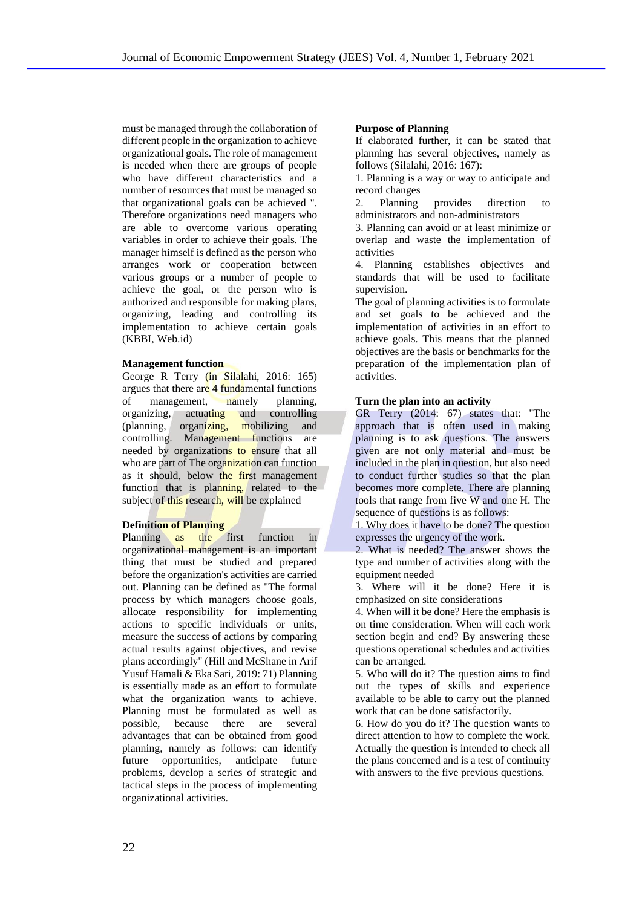must be managed through the collaboration of different people in the organization to achieve organizational goals. The role of management is needed when there are groups of people who have different characteristics and a number of resources that must be managed so that organizational goals can be achieved ". Therefore organizations need managers who are able to overcome various operating variables in order to achieve their goals. The manager himself is defined as the person who arranges work or cooperation between various groups or a number of people to achieve the goal, or the person who is authorized and responsible for making plans, organizing, leading and controlling its implementation to achieve certain goals (KBBI, Web.id)

#### **Management function**

George R Terry (in Silalahi, 2016: 165) argues that there are 4 fundamental functions of management, namely planning, organizing, actuating and controlling (planning, organizing, mobilizing and controlling. Management functions are needed by organizations to ensure that all who are part of The organization can function as it should, below the first management function that is planning, related to the subject of this research, will be explained

#### **Definition of Planning**

Planning as the first function in organizational management is an important thing that must be studied and prepared before the organization's activities are carried out. Planning can be defined as "The formal process by which managers choose goals, allocate responsibility for implementing actions to specific individuals or units, measure the success of actions by comparing actual results against objectives, and revise plans accordingly" (Hill and McShane in Arif Yusuf Hamali & Eka Sari, 2019: 71) Planning is essentially made as an effort to formulate what the organization wants to achieve. Planning must be formulated as well as possible, because there are several advantages that can be obtained from good planning, namely as follows: can identify future opportunities, anticipate future problems, develop a series of strategic and tactical steps in the process of implementing organizational activities.

#### **Purpose of Planning**

If elaborated further, it can be stated that planning has several objectives, namely as follows (Silalahi, 2016: 167):

1. Planning is a way or way to anticipate and record changes

2. Planning provides direction to administrators and non-administrators

3. Planning can avoid or at least minimize or overlap and waste the implementation of activities

4. Planning establishes objectives and standards that will be used to facilitate supervision.

The goal of planning activities is to formulate and set goals to be achieved and the implementation of activities in an effort to achieve goals. This means that the planned objectives are the basis or benchmarks for the preparation of the implementation plan of activities.

#### **Turn the plan into an activity**

GR Terry (2014: 67) states that: "The approach that is often used in making planning is to ask questions. The answers given are not only material and must be included in the plan in question, but also need to conduct further studies so that the plan becomes more complete. There are planning tools that range from five W and one H. The sequence of questions is as follows:

1. Why does it have to be done? The question expresses the urgency of the work.

2. What is needed? The answer shows the type and number of activities along with the equipment needed

3. Where will it be done? Here it is emphasized on site considerations

4. When will it be done? Here the emphasis is on time consideration. When will each work section begin and end? By answering these questions operational schedules and activities can be arranged.

5. Who will do it? The question aims to find out the types of skills and experience available to be able to carry out the planned work that can be done satisfactorily.

6. How do you do it? The question wants to direct attention to how to complete the work. Actually the question is intended to check all the plans concerned and is a test of continuity with answers to the five previous questions.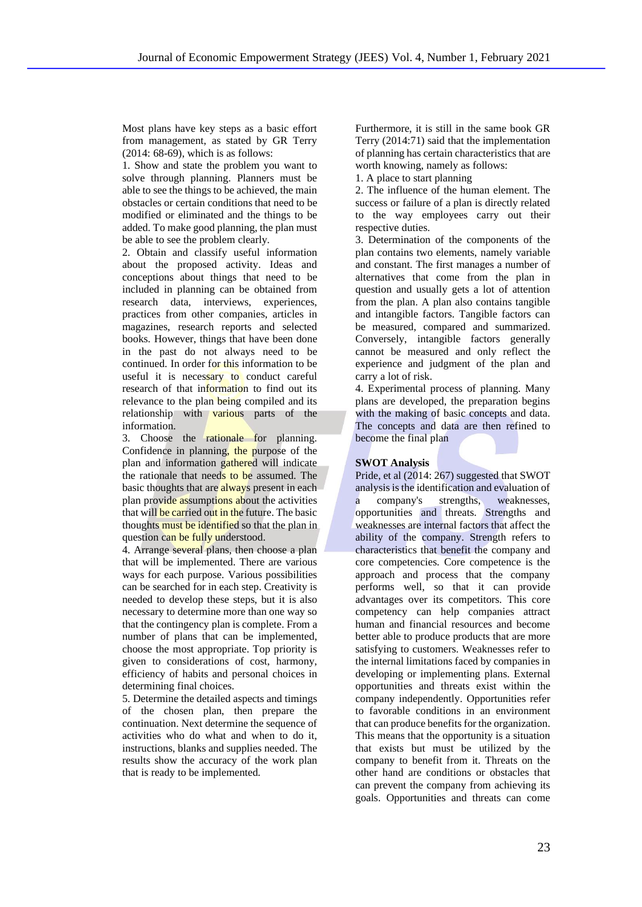Most plans have key steps as a basic effort from management, as stated by GR Terry (2014: 68-69), which is as follows:

1. Show and state the problem you want to solve through planning. Planners must be able to see the things to be achieved, the main obstacles or certain conditions that need to be modified or eliminated and the things to be added. To make good planning, the plan must be able to see the problem clearly.

2. Obtain and classify useful information about the proposed activity. Ideas and conceptions about things that need to be included in planning can be obtained from research data, interviews, experiences, practices from other companies, articles in magazines, research reports and selected books. However, things that have been done in the past do not always need to be continued. In order for this information to be useful it is necessary to conduct careful research of that information to find out its relevance to the plan being compiled and its relationship with various parts of the information.

3. Choose the rationale for planning. Confidence in planning, the purpose of the plan and information gathered will indicate the rationale that needs to be assumed. The basic thoughts that are always present in each plan provide assumptions about the activities that will be carried out in the future. The basic thoughts must be identified so that the plan in question can be fully understood.

4. Arrange several plans, then choose a plan that will be implemented. There are various ways for each purpose. Various possibilities can be searched for in each step. Creativity is needed to develop these steps, but it is also necessary to determine more than one way so that the contingency plan is complete. From a number of plans that can be implemented, choose the most appropriate. Top priority is given to considerations of cost, harmony, efficiency of habits and personal choices in determining final choices.

5. Determine the detailed aspects and timings of the chosen plan, then prepare the continuation. Next determine the sequence of activities who do what and when to do it, instructions, blanks and supplies needed. The results show the accuracy of the work plan that is ready to be implemented.

Furthermore, it is still in the same book GR Terry (2014:71) said that the implementation of planning has certain characteristics that are worth knowing, namely as follows:

1. A place to start planning

2. The influence of the human element. The success or failure of a plan is directly related to the way employees carry out their respective duties.

3. Determination of the components of the plan contains two elements, namely variable and constant. The first manages a number of alternatives that come from the plan in question and usually gets a lot of attention from the plan. A plan also contains tangible and intangible factors. Tangible factors can be measured, compared and summarized. Conversely, intangible factors generally cannot be measured and only reflect the experience and judgment of the plan and carry a lot of risk.

4. Experimental process of planning. Many plans are developed, the preparation begins with the making of basic concepts and data. The concepts and data are then refined to become the final plan

## **SWOT Analysis**

Pride, et al (2014: 267) suggested that SWOT analysis is the identification and evaluation of a company's strengths, weaknesses, opportunities and threats. Strengths and weaknesses are internal factors that affect the ability of the company. Strength refers to characteristics that benefit the company and core competencies. Core competence is the approach and process that the company performs well, so that it can provide advantages over its competitors. This core competency can help companies attract human and financial resources and become better able to produce products that are more satisfying to customers. Weaknesses refer to the internal limitations faced by companies in developing or implementing plans. External opportunities and threats exist within the company independently. Opportunities refer to favorable conditions in an environment that can produce benefits for the organization. This means that the opportunity is a situation that exists but must be utilized by the company to benefit from it. Threats on the other hand are conditions or obstacles that can prevent the company from achieving its goals. Opportunities and threats can come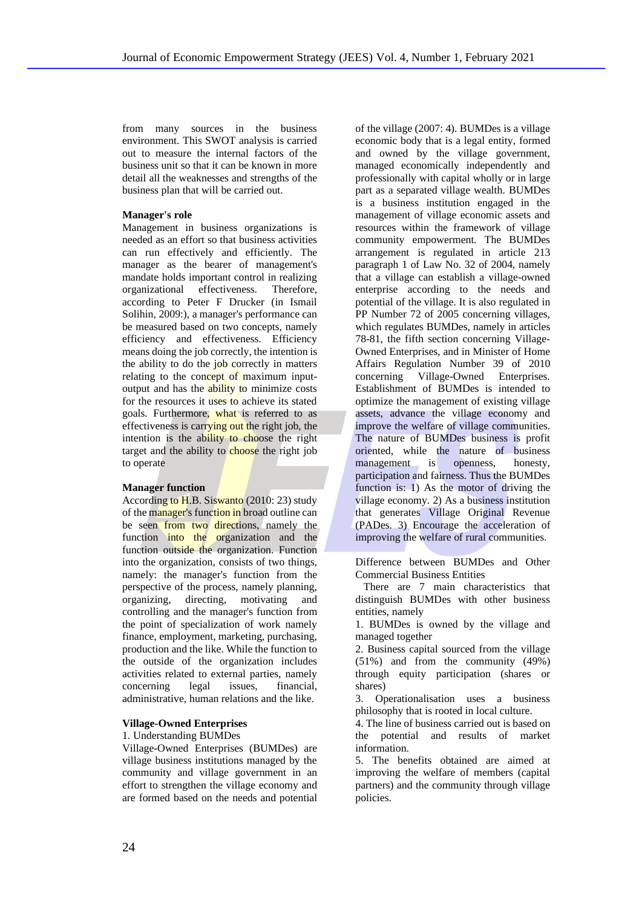from many sources in the business environment. This SWOT analysis is carried out to measure the internal factors of the business unit so that it can be known in more detail all the weaknesses and strengths of the business plan that will be carried out.

## **Manager's role**

Management in business organizations is needed as an effort so that business activities can run effectively and efficiently. The manager as the bearer of management's mandate holds important control in realizing organizational effectiveness. Therefore, according to Peter F Drucker (in Ismail Solihin, 2009:), a manager's performance can be measured based on two concepts, namely efficiency and effectiveness. Efficiency means doing the job correctly, the intention is the ability to do the job correctly in matters relating to the concept of maximum inputoutput and has the ability to minimize costs for the resources it uses to achieve its stated goals. Furthermore, what is referred to as effectiveness is carrying out the right job, the intention is the ability to choose the right target and the ability to choose the right job to operate

### **Manager function**

According to H.B. Siswanto (2010: 23) study of the manager's function in broad outline can be seen from two directions, namely the function into the organization and the function outside the organization. Function into the organization, consists of two things, namely: the manager's function from the perspective of the process, namely planning, organizing, directing, motivating and controlling and the manager's function from the point of specialization of work namely finance, employment, marketing, purchasing, production and the like. While the function to the outside of the organization includes activities related to external parties, namely concerning legal issues, financial, administrative, human relations and the like.

#### **Village-Owned Enterprises**

### 1. Understanding BUMDes

Village-Owned Enterprises (BUMDes) are village business institutions managed by the community and village government in an effort to strengthen the village economy and are formed based on the needs and potential

of the village (2007: 4). BUMDes is a village economic body that is a legal entity, formed and owned by the village government, managed economically independently and professionally with capital wholly or in large part as a separated village wealth. BUMDes is a business institution engaged in the management of village economic assets and resources within the framework of village community empowerment. The BUMDes arrangement is regulated in article 213 paragraph 1 of Law No. 32 of 2004, namely that a village can establish a village-owned enterprise according to the needs and potential of the village. It is also regulated in PP Number 72 of 2005 concerning villages, which regulates BUMDes, namely in articles 78-81, the fifth section concerning Village-Owned Enterprises, and in Minister of Home Affairs Regulation Number 39 of 2010 concerning Village-Owned Enterprises. Establishment of BUMDes is intended to optimize the management of existing village assets, advance the village economy and improve the welfare of village communities. The nature of BUMDes business is profit oriented, while the nature of business management is openness, honesty, participation and fairness. Thus the BUMDes function is: 1) As the motor of driving the village economy. 2) As a business institution that generates Village Original Revenue (PADes. 3) Encourage the acceleration of improving the welfare of rural communities.

Difference between BUMDes and Other Commercial Business Entities

There are 7 main characteristics that distinguish BUMDes with other business entities, namely

1. BUMDes is owned by the village and managed together

2. Business capital sourced from the village (51%) and from the community (49%) through equity participation (shares or shares)

3. Operationalisation uses a business philosophy that is rooted in local culture.

4. The line of business carried out is based on the potential and results of market information.

5. The benefits obtained are aimed at improving the welfare of members (capital partners) and the community through village policies.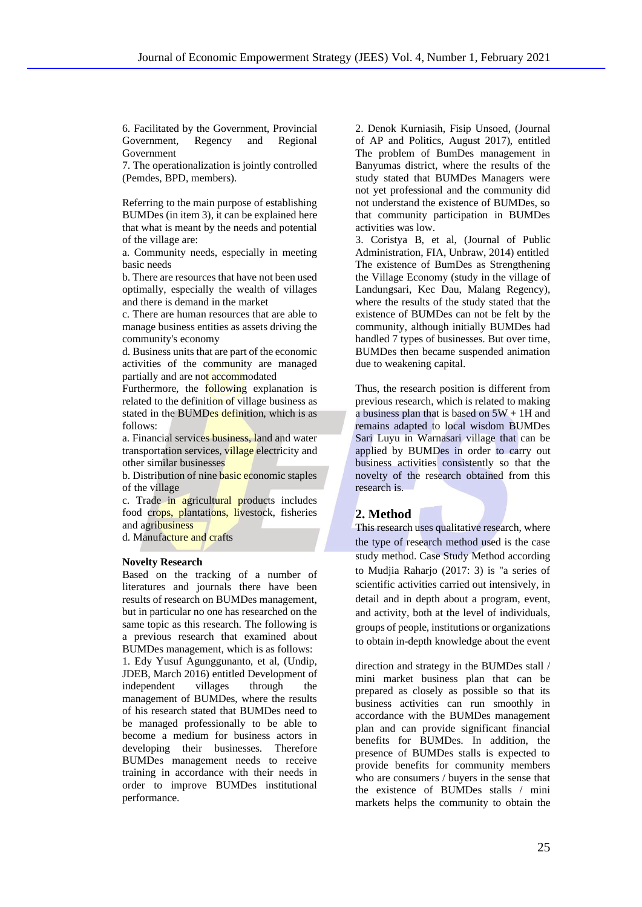6. Facilitated by the Government, Provincial Government, Regency and Regional Government

7. The operationalization is jointly controlled (Pemdes, BPD, members).

Referring to the main purpose of establishing BUMDes (in item 3), it can be explained here that what is meant by the needs and potential of the village are:

a. Community needs, especially in meeting basic needs

b. There are resources that have not been used optimally, especially the wealth of villages and there is demand in the market

c. There are human resources that are able to manage business entities as assets driving the community's economy

d. Business units that are part of the economic activities of the community are managed partially and are not accommodated

Furthermore, the following explanation is related to the definition of village business as stated in the BUMDes definition, which is as follows:

a. Financial services business, land and water transportation services, village electricity and other similar businesses

b. Distribution of nine basic economic staples of the village

c. Trade in agricultural products includes food crops, plantations, livestock, fisheries and agribusiness

d. Manufacture and crafts

#### **Novelty Research**

Based on the tracking of a number of literatures and journals there have been results of research on BUMDes management, but in particular no one has researched on the same topic as this research. The following is a previous research that examined about BUMDes management, which is as follows: 1. Edy Yusuf Agunggunanto, et al, (Undip, JDEB, March 2016) entitled Development of independent villages through the management of BUMDes, where the results of his research stated that BUMDes need to be managed professionally to be able to become a medium for business actors in developing their businesses. Therefore BUMDes management needs to receive training in accordance with their needs in order to improve BUMDes institutional performance.

2. Denok Kurniasih, Fisip Unsoed, (Journal of AP and Politics, August 2017), entitled The problem of BumDes management in Banyumas district, where the results of the study stated that BUMDes Managers were not yet professional and the community did not understand the existence of BUMDes, so that community participation in BUMDes activities was low.

3. Coristya B, et al, (Journal of Public Administration, FIA, Unbraw, 2014) entitled The existence of BumDes as Strengthening the Village Economy (study in the village of Landungsari, Kec Dau, Malang Regency), where the results of the study stated that the existence of BUMDes can not be felt by the community, although initially BUMDes had handled 7 types of businesses. But over time, BUMDes then became suspended animation due to weakening capital.

Thus, the research position is different from previous research, which is related to making a business plan that is based on  $5W + 1H$  and remains adapted to local wisdom BUMDes Sari Luyu in Warnasari village that can be applied by BUMDes in order to carry out business activities consistently so that the novelty of the research obtained from this research is.

# **2. Method**

This research uses qualitative research, where the type of research method used is the case study method. Case Study Method according to Mudjia Raharjo (2017: 3) is "a series of scientific activities carried out intensively, in detail and in depth about a program, event, and activity, both at the level of individuals, groups of people, institutions or organizations to obtain in-depth knowledge about the event

direction and strategy in the BUMDes stall / mini market business plan that can be prepared as closely as possible so that its business activities can run smoothly in accordance with the BUMDes management plan and can provide significant financial benefits for BUMDes. In addition, the presence of BUMDes stalls is expected to provide benefits for community members who are consumers / buyers in the sense that the existence of BUMDes stalls / mini markets helps the community to obtain the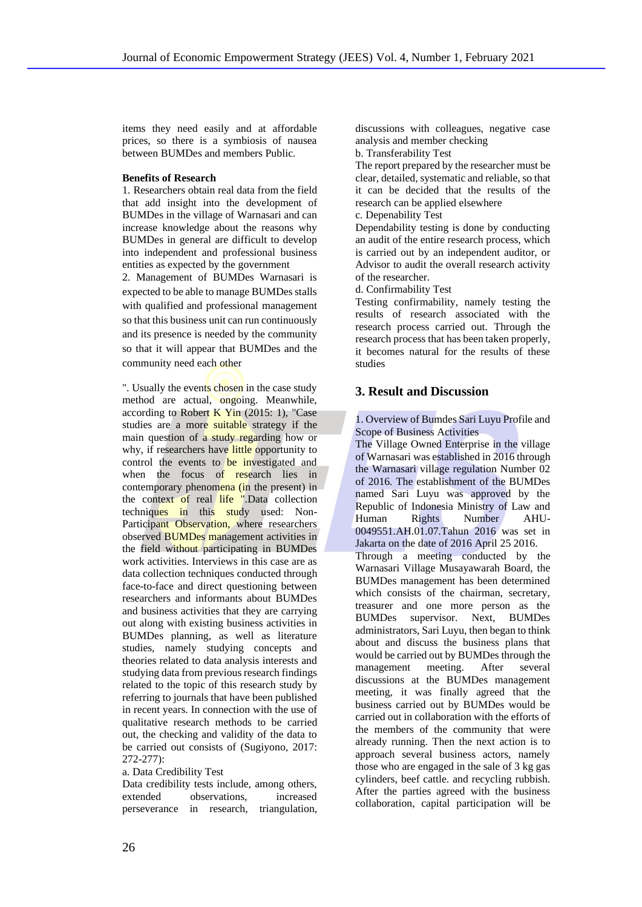items they need easily and at affordable prices, so there is a symbiosis of nausea between BUMDes and members Public.

#### **Benefits of Research**

1. Researchers obtain real data from the field that add insight into the development of BUMDes in the village of Warnasari and can increase knowledge about the reasons why BUMDes in general are difficult to develop into independent and professional business entities as expected by the government

2. Management of BUMDes Warnasari is expected to be able to manage BUMDes stalls with qualified and professional management so that this business unit can run continuously and its presence is needed by the community so that it will appear that BUMDes and the community need each other

". Usually the events chosen in the case study method are actual, ongoing. Meanwhile, according to Robert K Yin  $(2015: 1)$ , "Case studies are a more suitable strategy if the main question of a study regarding how or why, if researchers have little opportunity to control the events to be investigated and when the focus of research lies in contemporary phenomena (in the present) in the context of real life ".Data collection techniques in this study used: Non-Participant Observation, where researchers observed BUMDes management activities in the field without participating in BUMDes work activities. Interviews in this case are as data collection techniques conducted through face-to-face and direct questioning between researchers and informants about BUMDes and business activities that they are carrying out along with existing business activities in BUMDes planning, as well as literature studies, namely studying concepts and theories related to data analysis interests and studying data from previous research findings related to the topic of this research study by referring to journals that have been published in recent years. In connection with the use of qualitative research methods to be carried out, the checking and validity of the data to be carried out consists of (Sugiyono, 2017: 272-277):

a. Data Credibility Test

Data credibility tests include, among others, extended observations, increased perseverance in research, triangulation, discussions with colleagues, negative case analysis and member checking

b. Transferability Test

The report prepared by the researcher must be clear, detailed, systematic and reliable, so that it can be decided that the results of the research can be applied elsewhere

c. Depenability Test

Dependability testing is done by conducting an audit of the entire research process, which is carried out by an independent auditor, or Advisor to audit the overall research activity of the researcher.

d. Confirmability Test

Testing confirmability, namely testing the results of research associated with the research process carried out. Through the research process that has been taken properly, it becomes natural for the results of these studies

## **3. Result and Discussion**

1. Overview of Bumdes Sari Luyu Profile and Scope of Business Activities

The Village Owned Enterprise in the village of Warnasari was established in 2016 through the Warnasari village regulation Number 02 of 2016. The establishment of the BUMDes named Sari Luyu was approved by the Republic of Indonesia Ministry of Law and Human Rights Number AHU-0049551.AH.01.07.Tahun 2016 was set in Jakarta on the date of 2016 April 25 2016.

Through a meeting conducted by the Warnasari Village Musayawarah Board, the BUMDes management has been determined which consists of the chairman, secretary, treasurer and one more person as the BUMDes supervisor. Next, BUMDes administrators, Sari Luyu, then began to think about and discuss the business plans that would be carried out by BUMDes through the management meeting. After several discussions at the BUMDes management meeting, it was finally agreed that the business carried out by BUMDes would be carried out in collaboration with the efforts of the members of the community that were already running. Then the next action is to approach several business actors, namely those who are engaged in the sale of 3 kg gas cylinders, beef cattle. and recycling rubbish. After the parties agreed with the business collaboration, capital participation will be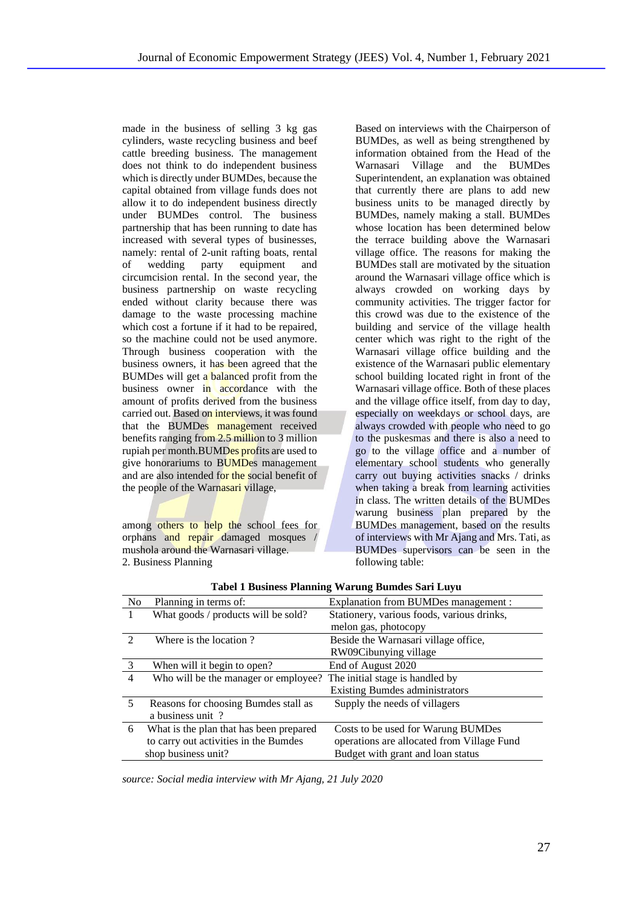made in the business of selling 3 kg gas cylinders, waste recycling business and beef cattle breeding business. The management does not think to do independent business which is directly under BUMDes, because the capital obtained from village funds does not allow it to do independent business directly under BUMDes control. The business partnership that has been running to date has increased with several types of businesses, namely: rental of 2-unit rafting boats, rental of wedding party equipment and circumcision rental. In the second year, the business partnership on waste recycling ended without clarity because there was damage to the waste processing machine which cost a fortune if it had to be repaired, so the machine could not be used anymore. Through business cooperation with the business owners, it has been agreed that the BUMDes will get a balanced profit from the business owner in accordance with the amount of profits derived from the business carried out. Based on interviews, it was found that the BUMDes management received benefits ranging from 2.5 million to 3 million rupiah per month.BUMDes profits are used to give honorariums to BUMDes management and are also intended for the social benefit of the people of the Warnasari village,

among others to help the school fees for orphans and repair damaged mosques mushola around the Warnasari village. 2. Business Planning

Based on interviews with the Chairperson of BUMDes, as well as being strengthened by information obtained from the Head of the Warnasari Village and the BUMDes Superintendent, an explanation was obtained that currently there are plans to add new business units to be managed directly by BUMDes, namely making a stall. BUMDes whose location has been determined below the terrace building above the Warnasari village office. The reasons for making the BUMDes stall are motivated by the situation around the Warnasari village office which is always crowded on working days by community activities. The trigger factor for this crowd was due to the existence of the building and service of the village health center which was right to the right of the Warnasari village office building and the existence of the Warnasari public elementary school building located right in front of the Warnasari village office. Both of these places and the village office itself, from day to day, especially on weekdays or school days, are always crowded with people who need to go to the puskesmas and there is also a need to go to the village office and a number of elementary school students who generally carry out buying activities snacks / drinks when taking a break from learning activities in class. The written details of the BUMDes warung business plan prepared by the BUMDes management, based on the results of interviews with Mr Ajang and Mrs. Tati, as BUMDes supervisors can be seen in the following table:

| Tabel I Business Planning Warung Bumdes Sari Luyu |                                         |                                            |
|---------------------------------------------------|-----------------------------------------|--------------------------------------------|
| N <sub>0</sub>                                    | Planning in terms of:                   | Explanation from BUMDes management :       |
| 1                                                 | What goods / products will be sold?     | Stationery, various foods, various drinks, |
|                                                   |                                         | melon gas, photocopy                       |
| $\mathcal{D}_{\mathcal{L}}$                       | Where is the location?                  | Beside the Warnasari village office,       |
|                                                   |                                         | RW09Cibunying village                      |
| 3                                                 | When will it begin to open?             | End of August 2020                         |
| 4                                                 | Who will be the manager or employee?    | The initial stage is handled by            |
|                                                   |                                         | <b>Existing Bumdes administrators</b>      |
| 5                                                 | Reasons for choosing Bumdes stall as    | Supply the needs of villagers              |
|                                                   | a business unit?                        |                                            |
| 6                                                 | What is the plan that has been prepared | Costs to be used for Warung BUMDes         |
|                                                   | to carry out activities in the Bumdes   | operations are allocated from Village Fund |
|                                                   | shop business unit?                     | Budget with grant and loan status          |

**Tabel 1 Business Planning Warung Bumdes Sari Luyu**

*source: Social media interview with Mr Ajang, 21 July 2020*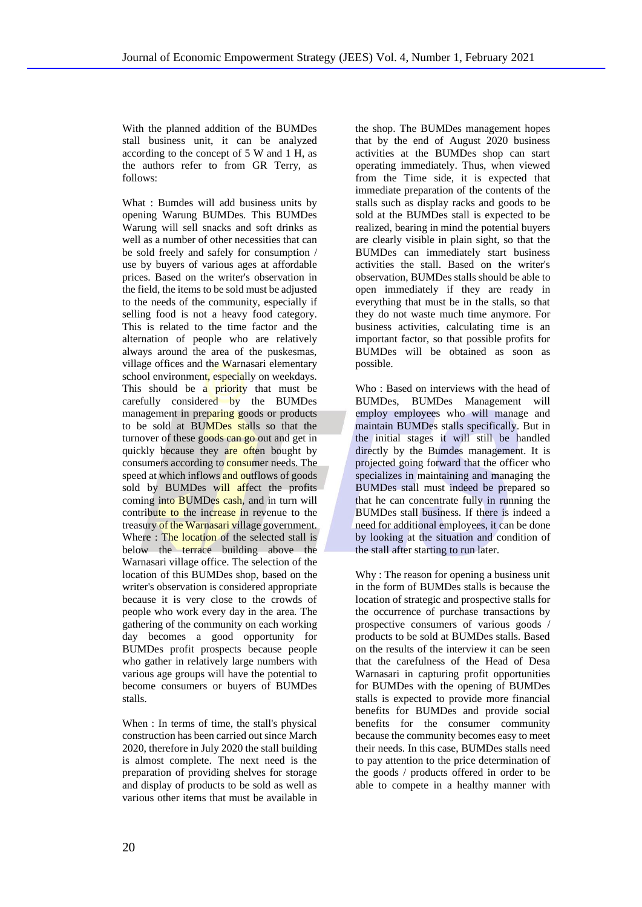With the planned addition of the BUMDes stall business unit, it can be analyzed according to the concept of 5 W and 1 H, as the authors refer to from GR Terry, as follows:

What : Bumdes will add business units by opening Warung BUMDes. This BUMDes Warung will sell snacks and soft drinks as well as a number of other necessities that can be sold freely and safely for consumption / use by buyers of various ages at affordable prices. Based on the writer's observation in the field, the items to be sold must be adjusted to the needs of the community, especially if selling food is not a heavy food category. This is related to the time factor and the alternation of people who are relatively always around the area of the puskesmas, village offices and the Warnasari elementary school environment, especially on weekdays. This should be a priority that must be carefully considered by the BUMDes management in preparing goods or products to be sold at BUMDes stalls so that the turnover of these goods can go out and get in quickly because they are often bought by consumers according to **consumer** needs. The speed at which inflows and outflows of goods sold by BUMDes will affect the profits coming into BUMDes cash, and in turn will contribute to the increase in revenue to the treasury of the Warnasari village government. Where : The location of the selected stall is below the terrace building above the Warnasari village office. The selection of the location of this BUMDes shop, based on the writer's observation is considered appropriate because it is very close to the crowds of people who work every day in the area. The gathering of the community on each working day becomes a good opportunity for BUMDes profit prospects because people who gather in relatively large numbers with various age groups will have the potential to become consumers or buyers of BUMDes stalls.

When : In terms of time, the stall's physical construction has been carried out since March 2020, therefore in July 2020 the stall building is almost complete. The next need is the preparation of providing shelves for storage and display of products to be sold as well as various other items that must be available in the shop. The BUMDes management hopes that by the end of August 2020 business activities at the BUMDes shop can start operating immediately. Thus, when viewed from the Time side, it is expected that immediate preparation of the contents of the stalls such as display racks and goods to be sold at the BUMDes stall is expected to be realized, bearing in mind the potential buyers are clearly visible in plain sight, so that the BUMDes can immediately start business activities the stall. Based on the writer's observation, BUMDes stalls should be able to open immediately if they are ready in everything that must be in the stalls, so that they do not waste much time anymore. For business activities, calculating time is an important factor, so that possible profits for BUMDes will be obtained as soon as possible.

Who : Based on interviews with the head of BUMDes, BUMDes Management will employ employees who will manage and maintain BUMDes stalls specifically. But in the initial stages it will still be handled directly by the Bumdes management. It is projected going forward that the officer who specializes in maintaining and managing the BUMDes stall must indeed be prepared so that he can concentrate fully in running the BUMDes stall business. If there is indeed a need for additional employees, it can be done by looking at the situation and condition of the stall after starting to run later.

Why : The reason for opening a business unit in the form of BUMDes stalls is because the location of strategic and prospective stalls for the occurrence of purchase transactions by prospective consumers of various goods / products to be sold at BUMDes stalls. Based on the results of the interview it can be seen that the carefulness of the Head of Desa Warnasari in capturing profit opportunities for BUMDes with the opening of BUMDes stalls is expected to provide more financial benefits for BUMDes and provide social benefits for the consumer community because the community becomes easy to meet their needs. In this case, BUMDes stalls need to pay attention to the price determination of the goods / products offered in order to be able to compete in a healthy manner with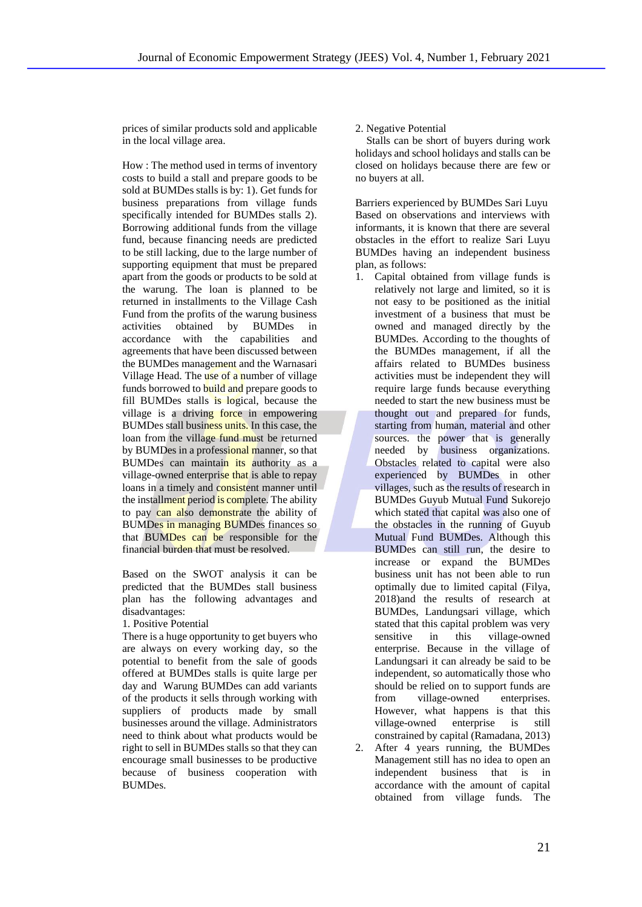prices of similar products sold and applicable in the local village area.

How : The method used in terms of inventory costs to build a stall and prepare goods to be sold at BUMDes stalls is by: 1). Get funds for business preparations from village funds specifically intended for BUMDes stalls 2). Borrowing additional funds from the village fund, because financing needs are predicted to be still lacking, due to the large number of supporting equipment that must be prepared apart from the goods or products to be sold at the warung. The loan is planned to be returned in installments to the Village Cash Fund from the profits of the warung business activities obtained by BUMDes in accordance with the capabilities and agreements that have been discussed between the BUMDes management and the Warnasari Village Head. The use of a number of village funds borrowed to build and prepare goods to fill BUMDes stalls is logical, because the village is a driving force in empowering BUMDes stall business units. In this case, the loan from the village fund must be returned by BUMDes in a professional manner, so that BUMDes can maintain its authority as a village-owned enterprise that is able to repay loans in a timely and consistent manner until the installment period is complete. The ability to pay can also demonstrate the ability of BUMDes in managing BUMDes finances so that BUMDes can be responsible for the financial burden that must be resolved.

Based on the SWOT analysis it can be predicted that the BUMDes stall business plan has the following advantages and disadvantages:

1. Positive Potential

There is a huge opportunity to get buyers who are always on every working day, so the potential to benefit from the sale of goods offered at BUMDes stalls is quite large per day and Warung BUMDes can add variants of the products it sells through working with suppliers of products made by small businesses around the village. Administrators need to think about what products would be right to sell in BUMDes stalls so that they can encourage small businesses to be productive because of business cooperation with BUMDes.

2. Negative Potential

 Stalls can be short of buyers during work holidays and school holidays and stalls can be closed on holidays because there are few or no buyers at all.

Barriers experienced by BUMDes Sari Luyu Based on observations and interviews with informants, it is known that there are several obstacles in the effort to realize Sari Luyu BUMDes having an independent business plan, as follows:

- 1. Capital obtained from village funds is relatively not large and limited, so it is not easy to be positioned as the initial investment of a business that must be owned and managed directly by the BUMDes. According to the thoughts of the BUMDes management, if all the affairs related to BUMDes business activities must be independent they will require large funds because everything needed to start the new business must be thought out and prepared for funds, starting from human, material and other sources, the power that is generally needed by business organizations. Obstacles related to capital were also experienced by BUMDes in other villages, such as the results of research in BUMDes Guyub Mutual Fund Sukorejo which stated that capital was also one of the obstacles in the running of Guyub Mutual Fund BUMDes. Although this BUMDes can still run, the desire to increase or expand the BUMDes business unit has not been able to run optimally due to limited capital (Filya, 2018)and the results of research at BUMDes, Landungsari village, which stated that this capital problem was very sensitive in this village-owned enterprise. Because in the village of Landungsari it can already be said to be independent, so automatically those who should be relied on to support funds are from village-owned enterprises. However, what happens is that this village-owned enterprise is still constrained by capital (Ramadana, 2013)
- 2. After 4 years running, the BUMDes Management still has no idea to open an independent business that is in accordance with the amount of capital obtained from village funds. The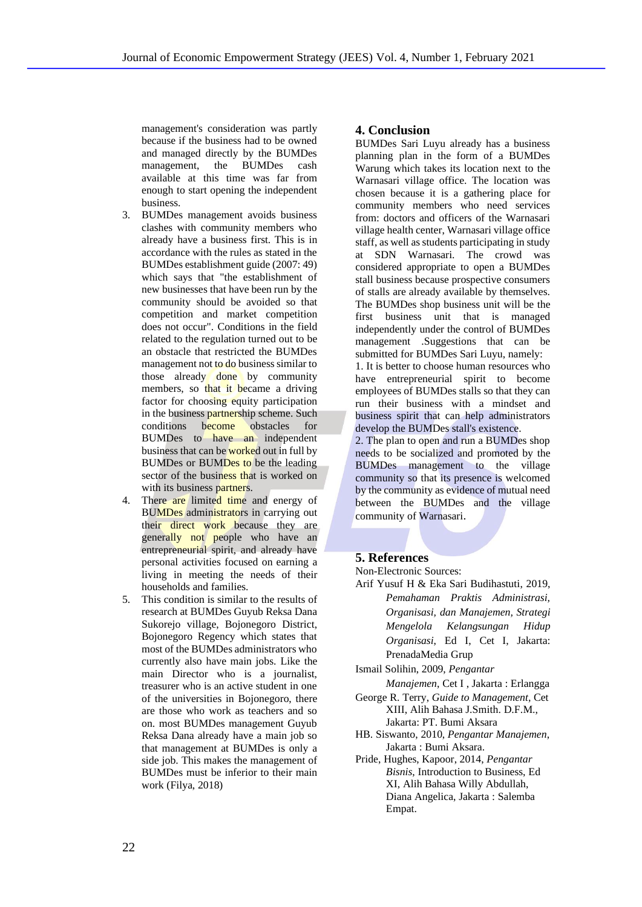management's consideration was partly because if the business had to be owned and managed directly by the BUMDes management, the BUMDes cash available at this time was far from enough to start opening the independent business.

- 3. BUMDes management avoids business clashes with community members who already have a business first. This is in accordance with the rules as stated in the BUMDes establishment guide (2007: 49) which says that "the establishment of new businesses that have been run by the community should be avoided so that competition and market competition does not occur". Conditions in the field related to the regulation turned out to be an obstacle that restricted the BUMDes management not to do business similar to those already done by community members, so that it became a driving factor for choosing equity participation in the business partnership scheme. Such conditions become obstacles for BUMDes to have an independent business that can be worked out in full by BUMDes or BUMDes to be the leading sector of the business that is worked on with its business partners.
- 4. There are limited time and energy of BUMDes administrators in carrying out their direct work because they are generally not people who have an entrepreneurial spirit, and already have personal activities focused on earning a living in meeting the needs of their households and families.
- 5. This condition is similar to the results of research at BUMDes Guyub Reksa Dana Sukorejo village, Bojonegoro District, Bojonegoro Regency which states that most of the BUMDes administrators who currently also have main jobs. Like the main Director who is a journalist, treasurer who is an active student in one of the universities in Bojonegoro, there are those who work as teachers and so on. most BUMDes management Guyub Reksa Dana already have a main job so that management at BUMDes is only a side job. This makes the management of BUMDes must be inferior to their main work (Filya, 2018)

# **4. Conclusion**

BUMDes Sari Luyu already has a business planning plan in the form of a BUMDes Warung which takes its location next to the Warnasari village office. The location was chosen because it is a gathering place for community members who need services from: doctors and officers of the Warnasari village health center, Warnasari village office staff, as well as students participating in study at SDN Warnasari. The crowd was considered appropriate to open a BUMDes stall business because prospective consumers of stalls are already available by themselves. The BUMDes shop business unit will be the first business unit that is managed independently under the control of BUMDes management .Suggestions that can be submitted for BUMDes Sari Luyu, namely:

1. It is better to choose human resources who have entrepreneurial spirit to become employees of BUMDes stalls so that they can run their business with a mindset and business spirit that can help administrators develop the BUMDes stall's existence.

2. The plan to open and run a BUMDes shop needs to be socialized and promoted by the BUMDes management to the village community so that its presence is welcomed by the community as evidence of mutual need between the BUMDes and the village community of Warnasari.

## **5. References**

Non-Electronic Sources:

Arif Yusuf H & Eka Sari Budihastuti, 2019, *Pemahaman Praktis Administrasi, Organisasi, dan Manajemen, Strategi Mengelola Kelangsungan Hidup Organisasi*, Ed I, Cet I, Jakarta: PrenadaMedia Grup

Ismail Solihin, 2009, *Pengantar* 

*Manajemen*, Cet I , Jakarta : Erlangga George R. Terry, *Guide to Management,* Cet

- XIII, Alih Bahasa J.Smith. D.F.M., Jakarta: PT. Bumi Aksara
- HB. Siswanto, 2010, *Pengantar Manajemen*, Jakarta : Bumi Aksara.
- Pride, Hughes, Kapoor, 2014, *Pengantar Bisnis*, Introduction to Business, Ed XI, Alih Bahasa Willy Abdullah, Diana Angelica, Jakarta : Salemba Empat.